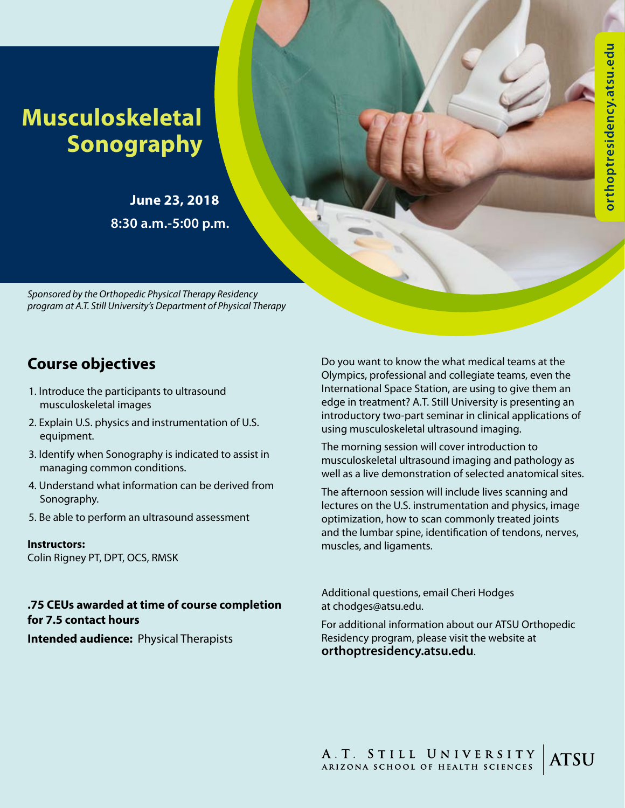# **Musculoskeletal Sonography**

**June 23, 2018 8:30 a.m.-5:00 p.m.** 

*Sponsored by the Orthopedic Physical Therapy Residency program at A.T. Still University's Department of Physical Therapy*

## **Course objectives**

- 1. Introduce the participants to ultrasound musculoskeletal images
- 2. Explain U.S. physics and instrumentation of U.S. equipment.
- 3. Identify when Sonography is indicated to assist in managing common conditions.
- 4. Understand what information can be derived from Sonography.
- 5. Be able to perform an ultrasound assessment

**Instructors:** Colin Rigney PT, DPT, OCS, RMSK

#### **.75 CEUs awarded at time of course completion for 7.5 contact hours**

**Intended audience:** Physical Therapists

Do you want to know the what medical teams at the Olympics, professional and collegiate teams, even the International Space Station, are using to give them an edge in treatment? A.T. Still University is presenting an introductory two-part seminar in clinical applications of using musculoskeletal ultrasound imaging.

The morning session will cover introduction to musculoskeletal ultrasound imaging and pathology as well as a live demonstration of selected anatomical sites.

The afternoon session will include lives scanning and lectures on the U.S. instrumentation and physics, image optimization, how to scan commonly treated joints and the lumbar spine, identification of tendons, nerves, muscles, and ligaments.

Additional questions, email Cheri Hodges at chodges@atsu.edu.

For additional information about our ATSU Orthopedic Residency program, please visit the website at **orthoptresidency.atsu.edu**.

A.T. STILL UNIVERSITY<br>ARIZONA SCHOOL OF HEALTH SCIENCES **ATSU**